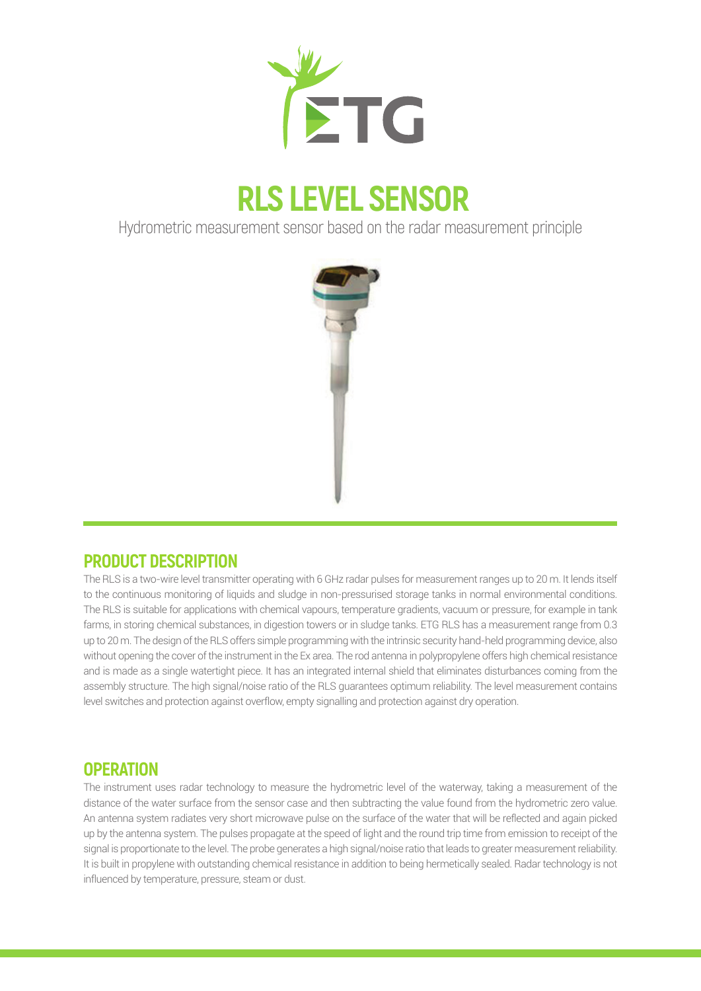

# **RLS LEVEL SENSOR**

Hydrometric measurement sensor based on the radar measurement principle



## **PRODUCT DESCRIPTION**

The RLS is a two-wire level transmitter operating with 6 GHz radar pulses for measurement ranges up to 20 m. It lends itself to the continuous monitoring of liquids and sludge in non-pressurised storage tanks in normal environmental conditions. The RLS is suitable for applications with chemical vapours, temperature gradients, vacuum or pressure, for example in tank farms, in storing chemical substances, in digestion towers or in sludge tanks. ETG RLS has a measurement range from 0.3 up to 20 m. The design of the RLS offers simple programming with the intrinsic security hand-held programming device, also without opening the cover of the instrument in the Ex area. The rod antenna in polypropylene offers high chemical resistance and is made as a single watertight piece. It has an integrated internal shield that eliminates disturbances coming from the assembly structure. The high signal/noise ratio of the RLS guarantees optimum reliability. The level measurement contains level switches and protection against overflow, empty signalling and protection against dry operation.

## **OPERATION**

The instrument uses radar technology to measure the hydrometric level of the waterway, taking a measurement of the distance of the water surface from the sensor case and then subtracting the value found from the hydrometric zero value. An antenna system radiates very short microwave pulse on the surface of the water that will be reflected and again picked up by the antenna system. The pulses propagate at the speed of light and the round trip time from emission to receipt of the signal is proportionate to the level. The probe generates a high signal/noise ratio that leads to greater measurement reliability. It is built in propylene with outstanding chemical resistance in addition to being hermetically sealed. Radar technology is not influenced by temperature, pressure, steam or dust.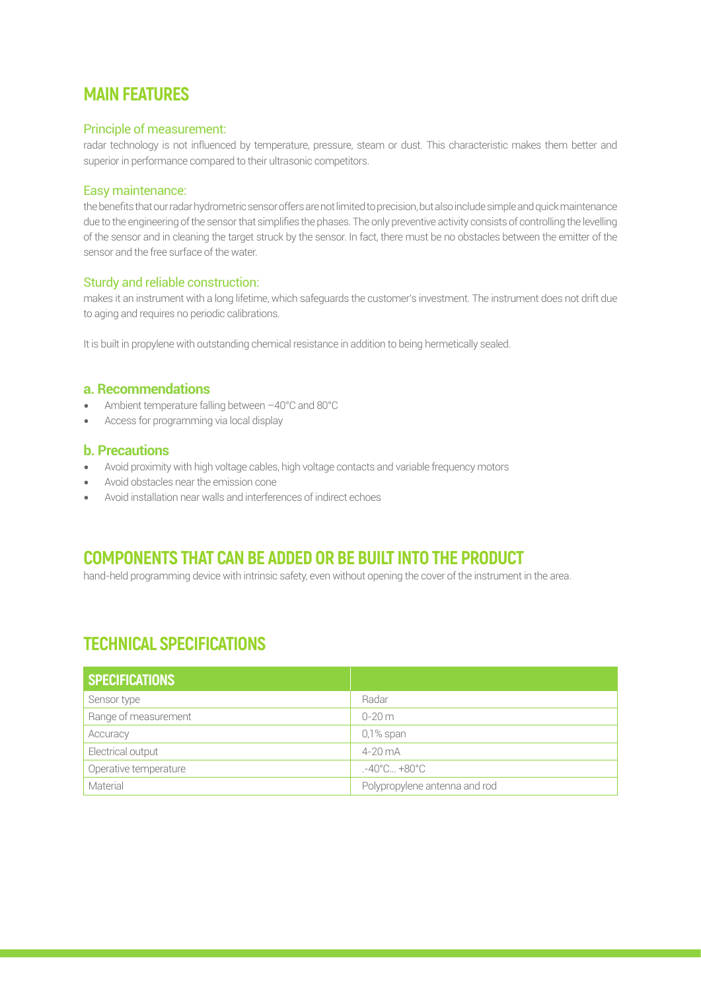## **MAIN FEATURES**

#### Principle of measurement:

radar technology is not influenced by temperature, pressure, steam or dust. This characteristic makes them better and superior in performance compared to their ultrasonic competitors.

#### Easy maintenance:

the benefits that our radar hydrometric sensor offers are not limited to precision, but also include simple and quick maintenance due to the engineering of the sensor that simplifies the phases. The only preventive activity consists of controlling the levelling of the sensor and in cleaning the target struck by the sensor. In fact, there must be no obstacles between the emitter of the sensor and the free surface of the water.

#### Sturdy and reliable construction:

makes it an instrument with a long lifetime, which safeguards the customer's investment. The instrument does not drift due to aging and requires no periodic calibrations.

It is built in propylene with outstanding chemical resistance in addition to being hermetically sealed.

#### **a. Recommendations**

- Ambient temperature falling between –40°C and 80°C
- Access for programming via local display

#### **b. Precautions**

- Avoid proximity with high voltage cables, high voltage contacts and variable frequency motors
- Avoid obstacles near the emission cone
- Avoid installation near walls and interferences of indirect echoes

## **COMPONENTS THAT CAN BE ADDED OR BE BUILT INTO THE PRODUCT**

hand-held programming device with intrinsic safety, even without opening the cover of the instrument in the area.

## **TECHNICAL SPECIFICATIONS**

| SPECIFICATIONS        |                                  |
|-----------------------|----------------------------------|
| Sensor type           | Radar                            |
| Range of measurement  | $0 - 20$ m                       |
| Accuracy              | $0,1\%$ span                     |
| Electrical output     | $4-20$ mA                        |
| Operative temperature | $-40^{\circ}$ C $+80^{\circ}$ C. |
| Material              | Polypropylene antenna and rod    |